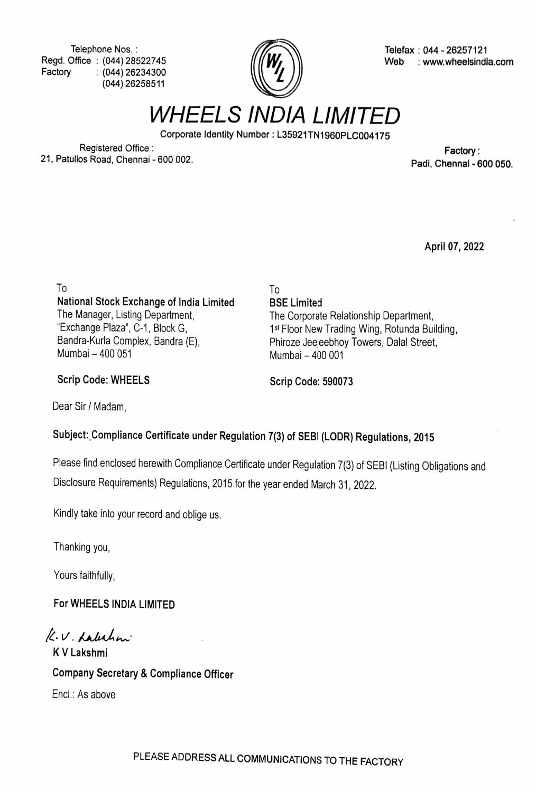Telephone Nos. Regd. Office: (044) 28522745 Factory (044) 26234300 (044) 26258511



Telefax: 044 - 26257121 Web : www.wheelsindla.com

WHEELS INDIA LIMITED

Corporate ldentity Number: L35921TN1960PLcO04175

Registered Office registered Office .<br>21, Patullos Road, Chennai - 600 002. Cases and the set of the control of the Padi, Chennai - 600 050.

April 07, 2022

To To National Stock Exchange of India Limited The Manager, Listing Department, "Exchange Plaza", C-1, Block G, Bandra-Kurla Complex, Bandra (E), Mumbai-400 051

1<sup>st</sup> Floor New Trading Wing, Rotunda Building, Phiroze Jeejeebhoy Towers, Dalal Street,

The Corporate Relationship Department,

BSE Limited

Scrip Code: WHEELS Scrip Code: 590073

Mumbai-400 001

Dear Sir/ Madam,

## Subject: Compliance Certificate under Regulation 7(3) of SEBI (LODR) Regulations, 2015

Please find enclosed herewith Compliance Certificate under Regulation 7(3) of SEBI (Listing Obligations and Disclosure Requirements) Regulations, 2015 for the year ended March 31, 2022

Kindly take into your record and oblige us.

Thanking you,

Yours faithfully,

For WHEELS INDIA LIMITED

K.V. Labahni KV Lakshmi

Company Secretary & Compliance Officer Encl: As above